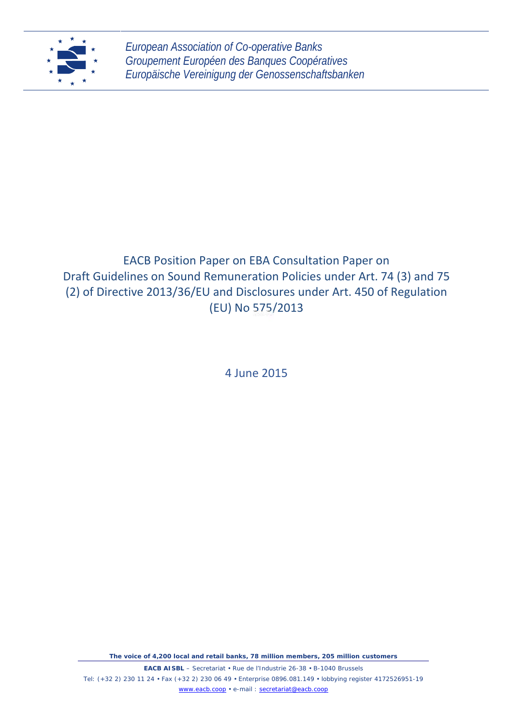

# EACB Position Paper on EBA Consultation Paper on Draft Guidelines on Sound Remuneration Policies under Art. 74 (3) and 75 (2) of Directive 2013/36/EU and Disclosures under Art. 450 of Regulation (EU) No 575/2013

4 June 2015

*The voice of 4,200 local and retail banks, 78 million members, 205 million customers*

**EACB AISBL** – Secretariat • Rue de l'Industrie 26-38 • B-1040 Brussels Tel: (+32 2) 230 11 24 Fax (+32 2) 230 06 49 Enterprise 0896.081.149 lobbying register 4172526951-19 www.eacb.coop • e-mail : secretariat@eacb.coop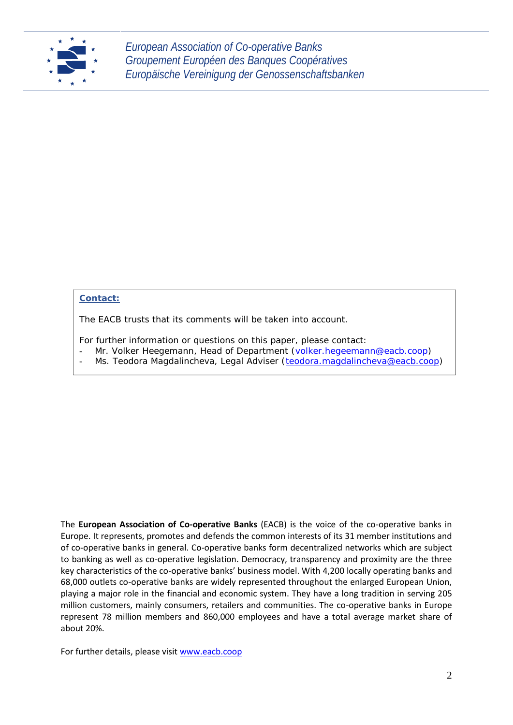

# **Contact:**

The EACB trusts that its comments will be taken into account.

For further information or questions on this paper, please contact:

- Mr. Volker Heegemann, Head of Department (volker.hegeemann@eacb.coop)
- Ms. Teodora Magdalincheva, Legal Adviser (teodora.magdalincheva@eacb.coop)

The **European Association of Co-operative Banks** (EACB) is the voice of the co-operative banks in Europe. It represents, promotes and defends the common interests of its 31 member institutions and of co-operative banks in general. Co-operative banks form decentralized networks which are subject to banking as well as co-operative legislation. Democracy, transparency and proximity are the three key characteristics of the co-operative banks' business model. With 4,200 locally operating banks and 68,000 outlets co-operative banks are widely represented throughout the enlarged European Union, playing a major role in the financial and economic system. They have a long tradition in serving 205 million customers, mainly consumers, retailers and communities. The co-operative banks in Europe represent 78 million members and 860,000 employees and have a total average market share of about 20%.

For further details, please visit www.eacb.coop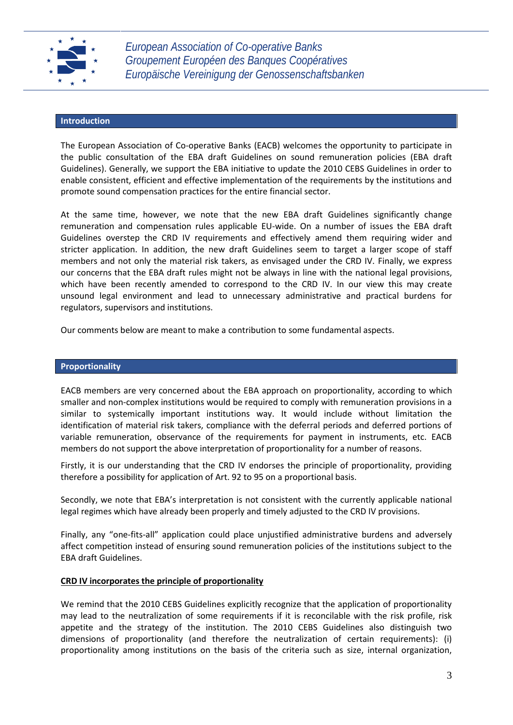

## **Introduction**

The European Association of Co-operative Banks (EACB) welcomes the opportunity to participate in the public consultation of the EBA draft Guidelines on sound remuneration policies (EBA draft Guidelines). Generally, we support the EBA initiative to update the 2010 CEBS Guidelines in order to enable consistent, efficient and effective implementation of the requirements by the institutions and promote sound compensation practices for the entire financial sector.

At the same time, however, we note that the new EBA draft Guidelines significantly change remuneration and compensation rules applicable EU-wide. On a number of issues the EBA draft Guidelines overstep the CRD IV requirements and effectively amend them requiring wider and stricter application. In addition, the new draft Guidelines seem to target a larger scope of staff members and not only the material risk takers, as envisaged under the CRD IV. Finally, we express our concerns that the EBA draft rules might not be always in line with the national legal provisions, which have been recently amended to correspond to the CRD IV. In our view this may create unsound legal environment and lead to unnecessary administrative and practical burdens for regulators, supervisors and institutions.

Our comments below are meant to make a contribution to some fundamental aspects.

## **Proportionality**

EACB members are very concerned about the EBA approach on proportionality, according to which smaller and non-complex institutions would be required to comply with remuneration provisions in a similar to systemically important institutions way. It would include without limitation the identification of material risk takers, compliance with the deferral periods and deferred portions of variable remuneration, observance of the requirements for payment in instruments, etc. EACB members do not support the above interpretation of proportionality for a number of reasons.

Firstly, it is our understanding that the CRD IV endorses the principle of proportionality, providing therefore a possibility for application of Art. 92 to 95 on a proportional basis.

Secondly, we note that EBA's interpretation is not consistent with the currently applicable national legal regimes which have already been properly and timely adjusted to the CRD IV provisions.

Finally, any "one-fits-all" application could place unjustified administrative burdens and adversely affect competition instead of ensuring sound remuneration policies of the institutions subject to the EBA draft Guidelines.

## **CRD IV incorporates the principle of proportionality**

We remind that the 2010 CEBS Guidelines explicitly recognize that the application of proportionality may lead to the neutralization of some requirements if it is reconcilable with the risk profile, risk appetite and the strategy of the institution. The 2010 CEBS Guidelines also distinguish two dimensions of proportionality (and therefore the neutralization of certain requirements): (i) proportionality among institutions on the basis of the criteria such as size, internal organization,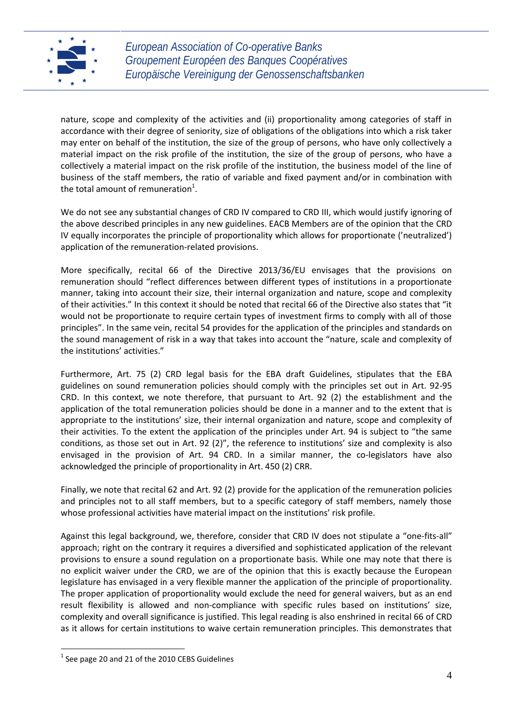

nature, scope and complexity of the activities and (ii) proportionality among categories of staff in accordance with their degree of seniority, size of obligations of the obligations into which a risk taker may enter on behalf of the institution, the size of the group of persons, who have only collectively a material impact on the risk profile of the institution, the size of the group of persons, who have a collectively a material impact on the risk profile of the institution, the business model of the line of business of the staff members, the ratio of variable and fixed payment and/or in combination with the total amount of remuneration<sup>1</sup>.

We do not see any substantial changes of CRD IV compared to CRD III, which would justify ignoring of the above described principles in any new guidelines. EACB Members are of the opinion that the CRD IV equally incorporates the principle of proportionality which allows for proportionate ('neutralized') application of the remuneration-related provisions.

More specifically, recital 66 of the Directive 2013/36/EU envisages that the provisions on remuneration should "reflect differences between different types of institutions in a proportionate manner, taking into account their size, their internal organization and nature, scope and complexity of their activities." In this context it should be noted that recital 66 of the Directive also states that "it would not be proportionate to require certain types of investment firms to comply with all of those principles". In the same vein, recital 54 provides for the application of the principles and standards on the sound management of risk in a way that takes into account the "nature, scale and complexity of the institutions' activities."

Furthermore, Art. 75 (2) CRD legal basis for the EBA draft Guidelines, stipulates that the EBA guidelines on sound remuneration policies should comply with the principles set out in Art. 92-95 CRD. In this context, we note therefore, that pursuant to Art. 92 (2) the establishment and the application of the total remuneration policies should be done in a manner and to the extent that is appropriate to the institutions' size, their internal organization and nature, scope and complexity of their activities. To the extent the application of the principles under Art. 94 is subject to "the same conditions, as those set out in Art. 92 (2)", the reference to institutions' size and complexity is also envisaged in the provision of Art. 94 CRD. In a similar manner, the co-legislators have also acknowledged the principle of proportionality in Art. 450 (2) CRR.

Finally, we note that recital 62 and Art. 92 (2) provide for the application of the remuneration policies and principles not to all staff members, but to a specific category of staff members, namely those whose professional activities have material impact on the institutions' risk profile.

Against this legal background, we, therefore, consider that CRD IV does not stipulate a "one-fits-all" approach; right on the contrary it requires a diversified and sophisticated application of the relevant provisions to ensure a sound regulation on a proportionate basis. While one may note that there is no explicit waiver under the CRD, we are of the opinion that this is exactly because the European legislature has envisaged in a very flexible manner the application of the principle of proportionality. The proper application of proportionality would exclude the need for general waivers, but as an end result flexibility is allowed and non-compliance with specific rules based on institutions' size, complexity and overall significance is justified. This legal reading is also enshrined in recital 66 of CRD as it allows for certain institutions to waive certain remuneration principles. This demonstrates that

 $1$  See page 20 and 21 of the 2010 CEBS Guidelines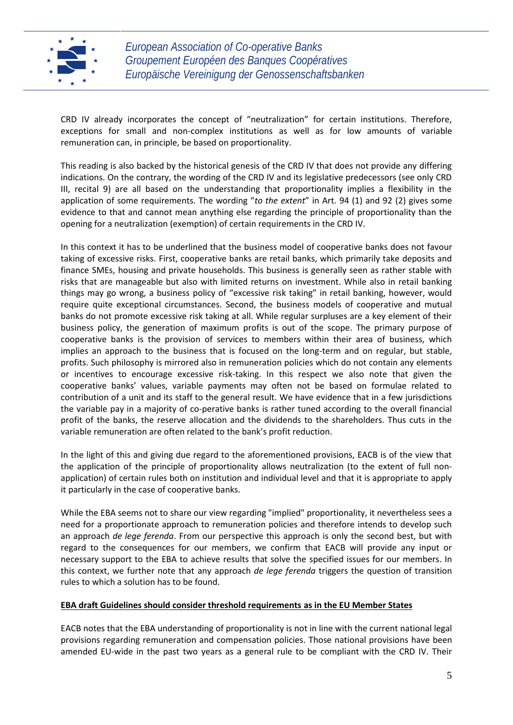

CRD IV already incorporates the concept of "neutralization" for certain institutions. Therefore, exceptions for small and non-complex institutions as well as for low amounts of variable remuneration can, in principle, be based on proportionality.

This reading is also backed by the historical genesis of the CRD IV that does not provide any differing indications. On the contrary, the wording of the CRD IV and its legislative predecessors (see only CRD III, recital 9) are all based on the understanding that proportionality implies a flexibility in the application of some requirements. The wording "*to the extent*" in Art. 94 (1) and 92 (2) gives some evidence to that and cannot mean anything else regarding the principle of proportionality than the opening for a neutralization (exemption) of certain requirements in the CRD IV.

In this context it has to be underlined that the business model of cooperative banks does not favour taking of excessive risks. First, cooperative banks are retail banks, which primarily take deposits and finance SMEs, housing and private households. This business is generally seen as rather stable with risks that are manageable but also with limited returns on investment. While also in retail banking things may go wrong, a business policy of "excessive risk taking" in retail banking, however, would require quite exceptional circumstances. Second, the business models of cooperative and mutual banks do not promote excessive risk taking at all. While regular surpluses are a key element of their business policy, the generation of maximum profits is out of the scope. The primary purpose of cooperative banks is the provision of services to members within their area of business, which implies an approach to the business that is focused on the long-term and on regular, but stable, profits. Such philosophy is mirrored also in remuneration policies which do not contain any elements or incentives to encourage excessive risk-taking. In this respect we also note that given the cooperative banks' values, variable payments may often not be based on formulae related to contribution of a unit and its staff to the general result. We have evidence that in a few jurisdictions the variable pay in a majority of co-perative banks is rather tuned according to the overall financial profit of the banks, the reserve allocation and the dividends to the shareholders. Thus cuts in the variable remuneration are often related to the bank's profit reduction.

In the light of this and giving due regard to the aforementioned provisions, EACB is of the view that the application of the principle of proportionality allows neutralization (to the extent of full non application) of certain rules both on institution and individual level and that it is appropriate to apply it particularly in the case of cooperative banks.

While the EBA seems not to share our view regarding "implied" proportionality, it nevertheless sees a need for a proportionate approach to remuneration policies and therefore intends to develop such an approach *de lege ferenda*. From our perspective this approach is only the second best, but with regard to the consequences for our members, we confirm that EACB will provide any input or necessary support to the EBA to achieve results that solve the specified issues for our members. In this context, we further note that any approach *de lege ferenda* triggers the question of transition rules to which a solution has to be found.

## **EBA draft Guidelines should consider threshold requirements as in the EU Member States**

EACB notes that the EBA understanding of proportionality is not in line with the current national legal provisions regarding remuneration and compensation policies. Those national provisions have been amended EU-wide in the past two years as a general rule to be compliant with the CRD IV. Their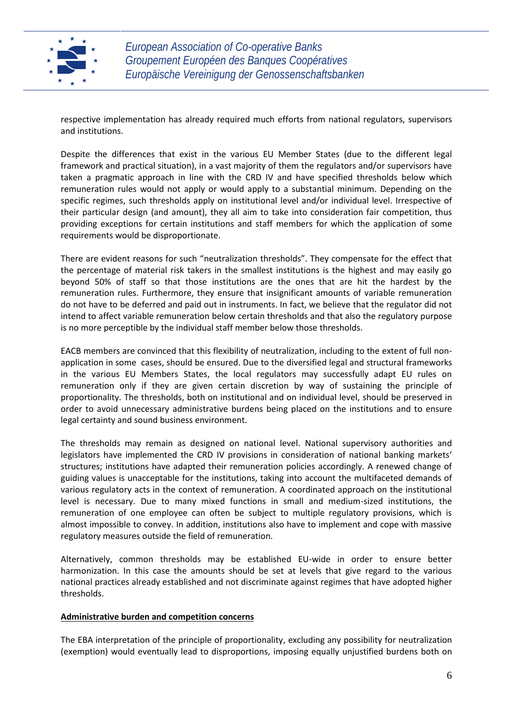

respective implementation has already required much efforts from national regulators, supervisors and institutions.

Despite the differences that exist in the various EU Member States (due to the different legal framework and practical situation), in a vast majority of them the regulators and/or supervisors have taken a pragmatic approach in line with the CRD IV and have specified thresholds below which remuneration rules would not apply or would apply to a substantial minimum. Depending on the specific regimes, such thresholds apply on institutional level and/or individual level. Irrespective of their particular design (and amount), they all aim to take into consideration fair competition, thus providing exceptions for certain institutions and staff members for which the application of some requirements would be disproportionate.

There are evident reasons for such "neutralization thresholds". They compensate for the effect that the percentage of material risk takers in the smallest institutions is the highest and may easily go beyond 50% of staff so that those institutions are the ones that are hit the hardest by the remuneration rules. Furthermore, they ensure that insignificant amounts of variable remuneration do not have to be deferred and paid out in instruments. In fact, we believe that the regulator did not intend to affect variable remuneration below certain thresholds and that also the regulatory purpose is no more perceptible by the individual staff member below those thresholds.

EACB members are convinced that this flexibility of neutralization, including to the extent of full non application in some cases, should be ensured. Due to the diversified legal and structural frameworks in the various EU Members States, the local regulators may successfully adapt EU rules on remuneration only if they are given certain discretion by way of sustaining the principle of proportionality. The thresholds, both on institutional and on individual level, should be preserved in order to avoid unnecessary administrative burdens being placed on the institutions and to ensure legal certainty and sound business environment.

The thresholds may remain as designed on national level. National supervisory authorities and legislators have implemented the CRD IV provisions in consideration of national banking markets' structures; institutions have adapted their remuneration policies accordingly. A renewed change of guiding values is unacceptable for the institutions, taking into account the multifaceted demands of various regulatory acts in the context of remuneration. A coordinated approach on the institutional level is necessary. Due to many mixed functions in small and medium-sized institutions, the remuneration of one employee can often be subject to multiple regulatory provisions, which is almost impossible to convey. In addition, institutions also have to implement and cope with massive regulatory measures outside the field of remuneration.

Alternatively, common thresholds may be established EU-wide in order to ensure better harmonization. In this case the amounts should be set at levels that give regard to the various national practices already established and not discriminate against regimes that have adopted higher thresholds.

## **Administrative burden and competition concerns**

The EBA interpretation of the principle of proportionality, excluding any possibility for neutralization (exemption) would eventually lead to disproportions, imposing equally unjustified burdens both on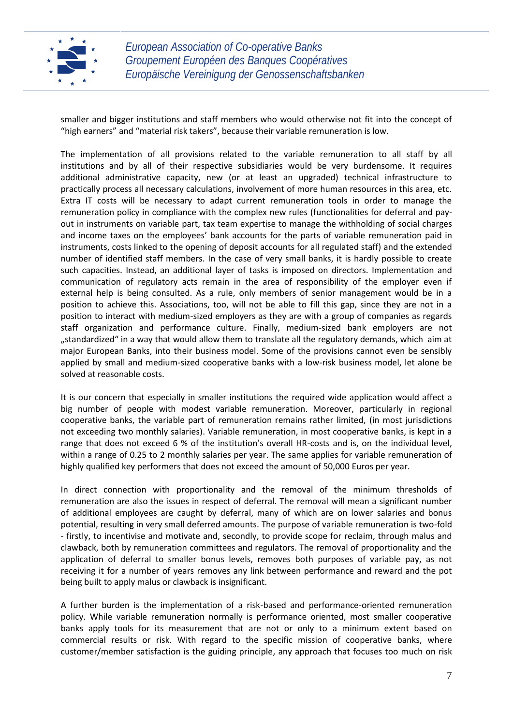

smaller and bigger institutions and staff members who would otherwise not fit into the concept of "high earners" and "material risk takers", because their variable remuneration is low.

The implementation of all provisions related to the variable remuneration to all staff by all institutions and by all of their respective subsidiaries would be very burdensome. It requires additional administrative capacity, new (or at least an upgraded) technical infrastructure to practically process all necessary calculations, involvement of more human resources in this area, etc. Extra IT costs will be necessary to adapt current remuneration tools in order to manage the remuneration policy in compliance with the complex new rules (functionalities for deferral and pay out in instruments on variable part, tax team expertise to manage the withholding of social charges and income taxes on the employees' bank accounts for the parts of variable remuneration paid in instruments, costs linked to the opening of deposit accounts for all regulated staff) and the extended number of identified staff members. In the case of very small banks, it is hardly possible to create such capacities. Instead, an additional layer of tasks is imposed on directors. Implementation and communication of regulatory acts remain in the area of responsibility of the employer even if external help is being consulted. As a rule, only members of senior management would be in a position to achieve this. Associations, too, will not be able to fill this gap, since they are not in a position to interact with medium-sized employers as they are with a group of companies as regards staff organization and performance culture. Finally, medium-sized bank employers are not "standardized" in a way that would allow them to translate all the regulatory demands, which aim at major European Banks, into their business model. Some of the provisions cannot even be sensibly applied by small and medium-sized cooperative banks with a low-risk business model, let alone be solved at reasonable costs.

It is our concern that especially in smaller institutions the required wide application would affect a big number of people with modest variable remuneration. Moreover, particularly in regional cooperative banks, the variable part of remuneration remains rather limited, (in most jurisdictions not exceeding two monthly salaries). Variable remuneration, in most cooperative banks, is kept in a range that does not exceed 6 % of the institution's overall HR-costs and is, on the individual level, within a range of 0.25 to 2 monthly salaries per year. The same applies for variable remuneration of highly qualified key performers that does not exceed the amount of 50,000 Euros per year.

In direct connection with proportionality and the removal of the minimum thresholds of remuneration are also the issues in respect of deferral. The removal will mean a significant number of additional employees are caught by deferral, many of which are on lower salaries and bonus potential, resulting in very small deferred amounts. The purpose of variable remuneration is two-fold - firstly, to incentivise and motivate and, secondly, to provide scope for reclaim, through malus and clawback, both by remuneration committees and regulators. The removal of proportionality and the application of deferral to smaller bonus levels, removes both purposes of variable pay, as not receiving it for a number of years removes any link between performance and reward and the pot being built to apply malus or clawback is insignificant.

A further burden is the implementation of a risk-based and performance-oriented remuneration policy. While variable remuneration normally is performance oriented, most smaller cooperative banks apply tools for its measurement that are not or only to a minimum extent based on commercial results or risk. With regard to the specific mission of cooperative banks, where customer/member satisfaction is the guiding principle, any approach that focuses too much on risk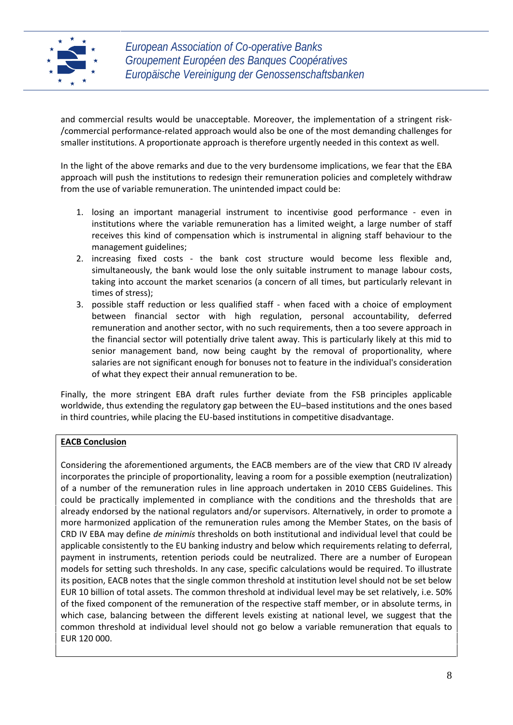

and commercial results would be unacceptable. Moreover, the implementation of a stringent risk- /commercial performance-related approach would also be one of the most demanding challenges for smaller institutions. A proportionate approach is therefore urgently needed in this context as well.

In the light of the above remarks and due to the very burdensome implications, we fear that the EBA approach will push the institutions to redesign their remuneration policies and completely withdraw from the use of variable remuneration. The unintended impact could be:

- 1. losing an important managerial instrument to incentivise good performance even in institutions where the variable remuneration has a limited weight, a large number of staff receives this kind of compensation which is instrumental in aligning staff behaviour to the management guidelines;
- 2. increasing fixed costs the bank cost structure would become less flexible and, simultaneously, the bank would lose the only suitable instrument to manage labour costs, taking into account the market scenarios (a concern of all times, but particularly relevant in times of stress);
- 3. possible staff reduction or less qualified staff when faced with a choice of employment between financial sector with high regulation, personal accountability, deferred remuneration and another sector, with no such requirements, then a too severe approach in the financial sector will potentially drive talent away. This is particularly likely at this mid to senior management band, now being caught by the removal of proportionality, where salaries are not significant enough for bonuses not to feature in the individual's consideration of what they expect their annual remuneration to be.

Finally, the more stringent EBA draft rules further deviate from the FSB principles applicable worldwide, thus extending the regulatory gap between the EU–based institutions and the ones based in third countries, while placing the EU-based institutions in competitive disadvantage.

# **EACB Conclusion**

Considering the aforementioned arguments, the EACB members are of the view that CRD IV already incorporates the principle of proportionality, leaving a room for a possible exemption (neutralization) of a number of the remuneration rules in line approach undertaken in 2010 CEBS Guidelines. This could be practically implemented in compliance with the conditions and the thresholds that are already endorsed by the national regulators and/or supervisors. Alternatively, in order to promote a more harmonized application of the remuneration rules among the Member States, on the basis of CRD IV EBA may define *de minimis* thresholds on both institutional and individual level that could be applicable consistently to the EU banking industry and below which requirements relating to deferral, payment in instruments, retention periods could be neutralized. There are a number of European models for setting such thresholds. In any case, specific calculations would be required. To illustrate its position, EACB notes that the single common threshold at institution level should not be set below EUR 10 billion of total assets. The common threshold at individual level may be set relatively, i.e. 50% of the fixed component of the remuneration of the respective staff member, or in absolute terms, in which case, balancing between the different levels existing at national level, we suggest that the common threshold at individual level should not go below a variable remuneration that equals to EUR 120 000.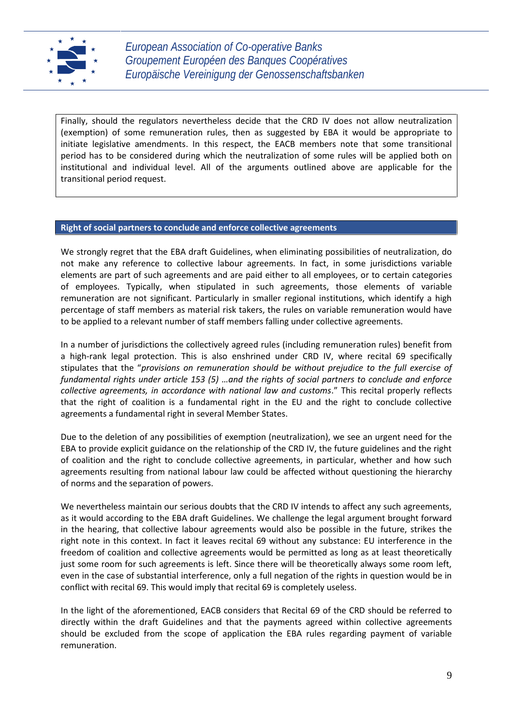

Finally, should the regulators nevertheless decide that the CRD IV does not allow neutralization (exemption) of some remuneration rules, then as suggested by EBA it would be appropriate to initiate legislative amendments. In this respect, the EACB members note that some transitional period has to be considered during which the neutralization of some rules will be applied both on institutional and individual level. All of the arguments outlined above are applicable for the transitional period request.

## **Right of social partners to conclude and enforce collective agreements**

We strongly regret that the EBA draft Guidelines, when eliminating possibilities of neutralization, do not make any reference to collective labour agreements. In fact, in some jurisdictions variable elements are part of such agreements and are paid either to all employees, or to certain categories of employees. Typically, when stipulated in such agreements, those elements of variable remuneration are not significant. Particularly in smaller regional institutions, which identify a high percentage of staff members as material risk takers, the rules on variable remuneration would have to be applied to a relevant number of staff members falling under collective agreements.

In a number of jurisdictions the collectively agreed rules (including remuneration rules) benefit from a high-rank legal protection. This is also enshrined under CRD IV, where recital 69 specifically stipulates that the "*provisions on remuneration should be without prejudice to the full exercise of fundamental rights under article 153 (5) …and the rights of social partners to conclude and enforce collective agreements, in accordance with national law and customs*." This recital properly reflects that the right of coalition is a fundamental right in the EU and the right to conclude collective agreements a fundamental right in several Member States.

Due to the deletion of any possibilities of exemption (neutralization), we see an urgent need for the EBA to provide explicit guidance on the relationship of the CRD IV, the future guidelines and the right of coalition and the right to conclude collective agreements, in particular, whether and how such agreements resulting from national labour law could be affected without questioning the hierarchy of norms and the separation of powers.

We nevertheless maintain our serious doubts that the CRD IV intends to affect any such agreements, as it would according to the EBA draft Guidelines. We challenge the legal argument brought forward in the hearing, that collective labour agreements would also be possible in the future, strikes the right note in this context. In fact it leaves recital 69 without any substance: EU interference in the freedom of coalition and collective agreements would be permitted as long as at least theoretically just some room for such agreements is left. Since there will be theoretically always some room left, even in the case of substantial interference, only a full negation of the rights in question would be in conflict with recital 69. This would imply that recital 69 is completely useless.

In the light of the aforementioned, EACB considers that Recital 69 of the CRD should be referred to directly within the draft Guidelines and that the payments agreed within collective agreements should be excluded from the scope of application the EBA rules regarding payment of variable remuneration.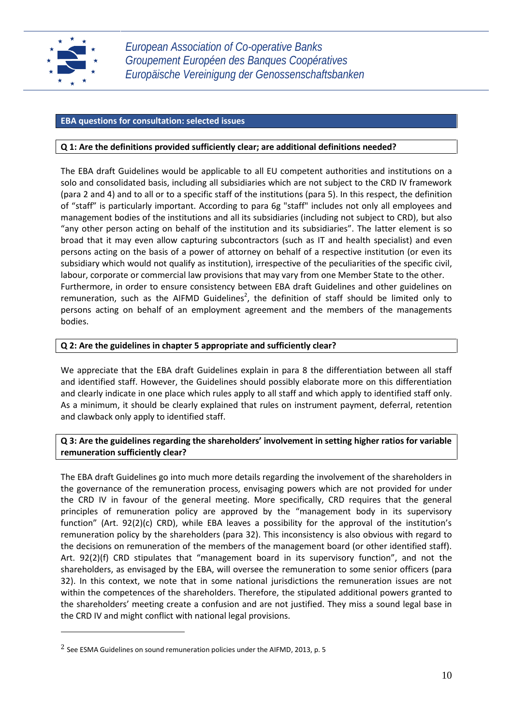

## **EBA questions for consultation: selected issues**

## **Q 1: Are the definitions provided sufficiently clear; are additional definitions needed?**

The EBA draft Guidelines would be applicable to all EU competent authorities and institutions on a solo and consolidated basis, including all subsidiaries which are not subject to the CRD IV framework (para 2 and 4) and to all or to a specific staff of the institutions (para 5). In this respect, the definition of "staff" is particularly important. According to para 6g "staff" includes not only all employees and management bodies of the institutions and all its subsidiaries (including not subject to CRD), but also "any other person acting on behalf of the institution and its subsidiaries". The latter element is so broad that it may even allow capturing subcontractors (such as IT and health specialist) and even persons acting on the basis of a power of attorney on behalf of a respective institution (or even its subsidiary which would not qualify as institution), irrespective of the peculiarities of the specific civil, labour, corporate or commercial law provisions that may vary from one Member State to the other. Furthermore, in order to ensure consistency between EBA draft Guidelines and other guidelines on remuneration, such as the AIFMD Guidelines<sup>2</sup>, the definition of staff should be limited only to persons acting on behalf of an employment agreement and the members of the managements bodies.

# **Q 2: Are the guidelines in chapter 5 appropriate and sufficiently clear?**

We appreciate that the EBA draft Guidelines explain in para 8 the differentiation between all staff and identified staff. However, the Guidelines should possibly elaborate more on this differentiation and clearly indicate in one place which rules apply to all staff and which apply to identified staff only. As a minimum, it should be clearly explained that rules on instrument payment, deferral, retention and clawback only apply to identified staff.

# **Q 3: Are the guidelines regarding the shareholders' involvement in setting higher ratios for variable remuneration sufficiently clear?**

The EBA draft Guidelines go into much more details regarding the involvement of the shareholders in the governance of the remuneration process, envisaging powers which are not provided for under the CRD IV in favour of the general meeting. More specifically, CRD requires that the general principles of remuneration policy are approved by the "management body in its supervisory function" (Art. 92(2)(c) CRD), while EBA leaves a possibility for the approval of the institution's remuneration policy by the shareholders (para 32). This inconsistency is also obvious with regard to the decisions on remuneration of the members of the management board (or other identified staff). Art. 92(2)(f) CRD stipulates that "management board in its supervisory function", and not the shareholders, as envisaged by the EBA, will oversee the remuneration to some senior officers (para 32). In this context, we note that in some national jurisdictions the remuneration issues are not within the competences of the shareholders. Therefore, the stipulated additional powers granted to the shareholders' meeting create a confusion and are not justified. They miss a sound legal base in the CRD IV and might conflict with national legal provisions.

<sup>2</sup> See ESMA Guidelines on sound remuneration policies under the AIFMD, 2013, p. 5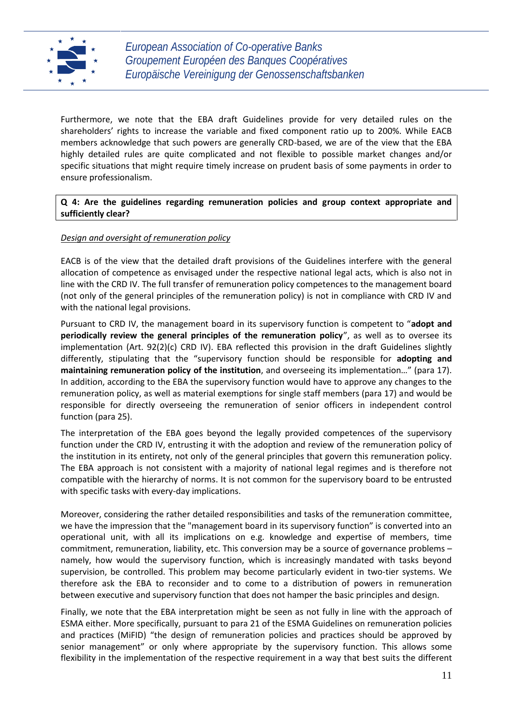

Furthermore, we note that the EBA draft Guidelines provide for very detailed rules on the shareholders' rights to increase the variable and fixed component ratio up to 200%. While EACB members acknowledge that such powers are generally CRD-based, we are of the view that the EBA highly detailed rules are quite complicated and not flexible to possible market changes and/or specific situations that might require timely increase on prudent basis of some payments in order to ensure professionalism.

## **Q 4: Are the guidelines regarding remuneration policies and group context appropriate and sufficiently clear?**

## *Design and oversight of remuneration policy*

EACB is of the view that the detailed draft provisions of the Guidelines interfere with the general allocation of competence as envisaged under the respective national legal acts, which is also not in line with the CRD IV. The full transfer of remuneration policy competences to the management board (not only of the general principles of the remuneration policy) is not in compliance with CRD IV and with the national legal provisions.

Pursuant to CRD IV, the management board in its supervisory function is competent to "**adopt and periodically review the general principles of the remuneration policy**", as well as to oversee its implementation (Art. 92(2)(c) CRD IV). EBA reflected this provision in the draft Guidelines slightly differently, stipulating that the "supervisory function should be responsible for **adopting and maintaining remuneration policy of the institution**, and overseeing its implementation…" (para 17). In addition, according to the EBA the supervisory function would have to approve any changes to the remuneration policy, as well as material exemptions for single staff members (para 17) and would be responsible for directly overseeing the remuneration of senior officers in independent control function (para 25).

The interpretation of the EBA goes beyond the legally provided competences of the supervisory function under the CRD IV, entrusting it with the adoption and review of the remuneration policy of the institution in its entirety, not only of the general principles that govern this remuneration policy. The EBA approach is not consistent with a majority of national legal regimes and is therefore not compatible with the hierarchy of norms. It is not common for the supervisory board to be entrusted with specific tasks with every-day implications.

Moreover, considering the rather detailed responsibilities and tasks of the remuneration committee, we have the impression that the "management board in its supervisory function" is converted into an operational unit, with all its implications on e.g. knowledge and expertise of members, time commitment, remuneration, liability, etc. This conversion may be a source of governance problems – namely, how would the supervisory function, which is increasingly mandated with tasks beyond supervision, be controlled. This problem may become particularly evident in two-tier systems. We therefore ask the EBA to reconsider and to come to a distribution of powers in remuneration between executive and supervisory function that does not hamper the basic principles and design.

Finally, we note that the EBA interpretation might be seen as not fully in line with the approach of ESMA either. More specifically, pursuant to para 21 of the ESMA Guidelines on remuneration policies and practices (MiFID) "the design of remuneration policies and practices should be approved by senior management" or only where appropriate by the supervisory function. This allows some flexibility in the implementation of the respective requirement in a way that best suits the different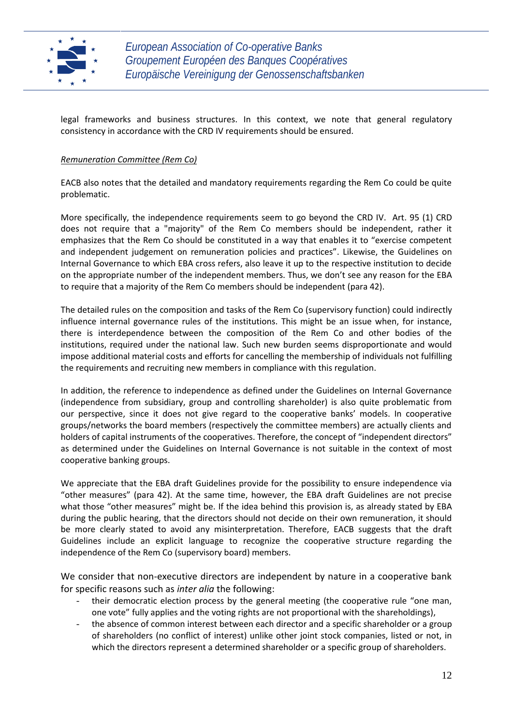

legal frameworks and business structures. In this context, we note that general regulatory consistency in accordance with the CRD IV requirements should be ensured.

# *Remuneration Committee (Rem Co)*

EACB also notes that the detailed and mandatory requirements regarding the Rem Co could be quite problematic.

More specifically, the independence requirements seem to go beyond the CRD IV. Art. 95 (1) CRD does not require that a "majority" of the Rem Co members should be independent, rather it emphasizes that the Rem Co should be constituted in a way that enables it to "exercise competent and independent judgement on remuneration policies and practices". Likewise, the Guidelines on Internal Governance to which EBA cross refers, also leave it up to the respective institution to decide on the appropriate number of the independent members. Thus, we don't see any reason for the EBA to require that a majority of the Rem Co members should be independent (para 42).

The detailed rules on the composition and tasks of the Rem Co (supervisory function) could indirectly influence internal governance rules of the institutions. This might be an issue when, for instance, there is interdependence between the composition of the Rem Co and other bodies of the institutions, required under the national law. Such new burden seems disproportionate and would impose additional material costs and efforts for cancelling the membership of individuals not fulfilling the requirements and recruiting new members in compliance with this regulation.

In addition, the reference to independence as defined under the Guidelines on Internal Governance (independence from subsidiary, group and controlling shareholder) is also quite problematic from our perspective, since it does not give regard to the cooperative banks' models. In cooperative groups/networks the board members (respectively the committee members) are actually clients and holders of capital instruments of the cooperatives. Therefore, the concept of "independent directors" as determined under the Guidelines on Internal Governance is not suitable in the context of most cooperative banking groups.

We appreciate that the EBA draft Guidelines provide for the possibility to ensure independence via "other measures" (para 42). At the same time, however, the EBA draft Guidelines are not precise what those "other measures" might be. If the idea behind this provision is, as already stated by EBA during the public hearing, that the directors should not decide on their own remuneration, it should be more clearly stated to avoid any misinterpretation. Therefore, EACB suggests that the draft Guidelines include an explicit language to recognize the cooperative structure regarding the independence of the Rem Co (supervisory board) members.

We consider that non-executive directors are independent by nature in a cooperative bank for specific reasons such as *inter alia* the following:

- their democratic election process by the general meeting (the cooperative rule "one man, one vote" fully applies and the voting rights are not proportional with the shareholdings),
- the absence of common interest between each director and a specific shareholder or a group of shareholders (no conflict of interest) unlike other joint stock companies, listed or not, in which the directors represent a determined shareholder or a specific group of shareholders.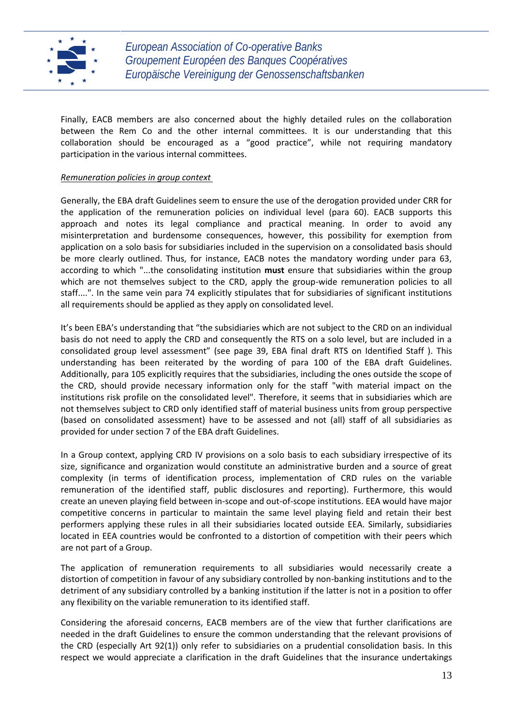

Finally, EACB members are also concerned about the highly detailed rules on the collaboration between the Rem Co and the other internal committees. It is our understanding that this collaboration should be encouraged as a "good practice", while not requiring mandatory participation in the various internal committees.

## *Remuneration policies in group context*

Generally, the EBA draft Guidelines seem to ensure the use of the derogation provided under CRR for the application of the remuneration policies on individual level (para 60). EACB supports this approach and notes its legal compliance and practical meaning. In order to avoid any misinterpretation and burdensome consequences, however, this possibility for exemption from application on a solo basis for subsidiaries included in the supervision on a consolidated basis should be more clearly outlined. Thus, for instance, EACB notes the mandatory wording under para 63, according to which "...the consolidating institution **must** ensure that subsidiaries within the group which are not themselves subject to the CRD, apply the group-wide remuneration policies to all staff....". In the same vein para 74 explicitly stipulates that for subsidiaries of significant institutions all requirements should be applied as they apply on consolidated level.

It's been EBA's understanding that "the subsidiaries which are not subject to the CRD on an individual basis do not need to apply the CRD and consequently the RTS on a solo level, but are included in a consolidated group level assessment" (see page 39, EBA final draft RTS on Identified Staff ). This understanding has been reiterated by the wording of para 100 of the EBA draft Guidelines. Additionally, para 105 explicitly requires that the subsidiaries, including the ones outside the scope of the CRD, should provide necessary information only for the staff "with material impact on the institutions risk profile on the consolidated level". Therefore, it seems that in subsidiaries which are not themselves subject to CRD only identified staff of material business units from group perspective (based on consolidated assessment) have to be assessed and not (all) staff of all subsidiaries as provided for under section 7 of the EBA draft Guidelines.

In a Group context, applying CRD IV provisions on a solo basis to each subsidiary irrespective of its size, significance and organization would constitute an administrative burden and a source of great complexity (in terms of identification process, implementation of CRD rules on the variable remuneration of the identified staff, public disclosures and reporting). Furthermore, this would create an uneven playing field between in-scope and out-of-scope institutions. EEA would have major competitive concerns in particular to maintain the same level playing field and retain their best performers applying these rules in all their subsidiaries located outside EEA. Similarly, subsidiaries located in EEA countries would be confronted to a distortion of competition with their peers which are not part of a Group.

The application of remuneration requirements to all subsidiaries would necessarily create a distortion of competition in favour of any subsidiary controlled by non-banking institutions and to the detriment of any subsidiary controlled by a banking institution if the latter is not in a position to offer any flexibility on the variable remuneration to its identified staff.

Considering the aforesaid concerns, EACB members are of the view that further clarifications are needed in the draft Guidelines to ensure the common understanding that the relevant provisions of the CRD (especially Art 92(1)) only refer to subsidiaries on a prudential consolidation basis. In this respect we would appreciate a clarification in the draft Guidelines that the insurance undertakings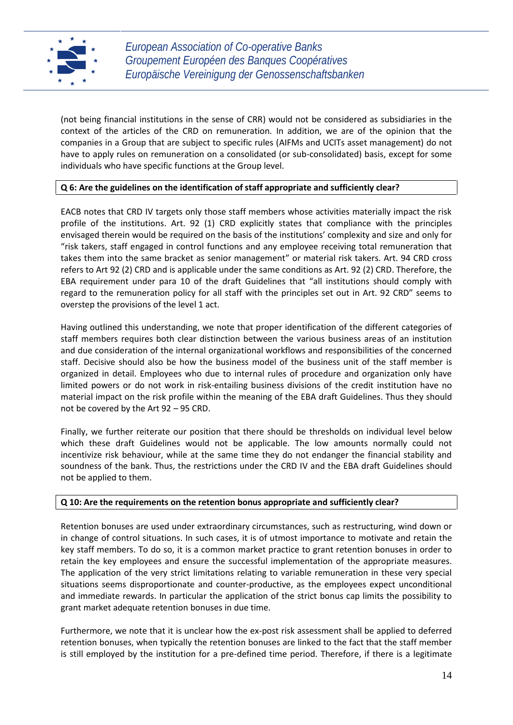

(not being financial institutions in the sense of CRR) would not be considered as subsidiaries in the context of the articles of the CRD on remuneration. In addition, we are of the opinion that the companies in a Group that are subject to specific rules (AIFMs and UCITs asset management) do not have to apply rules on remuneration on a consolidated (or sub-consolidated) basis, except for some individuals who have specific functions at the Group level.

# **Q 6: Are the guidelines on the identification of staff appropriate and sufficiently clear?**

EACB notes that CRD IV targets only those staff members whose activities materially impact the risk profile of the institutions. Art. 92 (1) CRD explicitly states that compliance with the principles envisaged therein would be required on the basis of the institutions' complexity and size and only for "risk takers, staff engaged in control functions and any employee receiving total remuneration that takes them into the same bracket as senior management" or material risk takers. Art. 94 CRD cross refers to Art 92 (2) CRD and is applicable under the same conditions as Art. 92 (2) CRD. Therefore, the EBA requirement under para 10 of the draft Guidelines that "all institutions should comply with regard to the remuneration policy for all staff with the principles set out in Art. 92 CRD" seems to overstep the provisions of the level 1 act.

Having outlined this understanding, we note that proper identification of the different categories of staff members requires both clear distinction between the various business areas of an institution and due consideration of the internal organizational workflows and responsibilities of the concerned staff. Decisive should also be how the business model of the business unit of the staff member is organized in detail. Employees who due to internal rules of procedure and organization only have limited powers or do not work in risk-entailing business divisions of the credit institution have no material impact on the risk profile within the meaning of the EBA draft Guidelines. Thus they should not be covered by the Art 92 – 95 CRD.

Finally, we further reiterate our position that there should be thresholds on individual level below which these draft Guidelines would not be applicable. The low amounts normally could not incentivize risk behaviour, while at the same time they do not endanger the financial stability and soundness of the bank. Thus, the restrictions under the CRD IV and the EBA draft Guidelines should not be applied to them.

# **Q 10: Are the requirements on the retention bonus appropriate and sufficiently clear?**

Retention bonuses are used under extraordinary circumstances, such as restructuring, wind down or in change of control situations. In such cases, it is of utmost importance to motivate and retain the key staff members. To do so, it is a common market practice to grant retention bonuses in order to retain the key employees and ensure the successful implementation of the appropriate measures. The application of the very strict limitations relating to variable remuneration in these very special situations seems disproportionate and counter-productive, as the employees expect unconditional and immediate rewards. In particular the application of the strict bonus cap limits the possibility to grant market adequate retention bonuses in due time.

Furthermore, we note that it is unclear how the ex-post risk assessment shall be applied to deferred retention bonuses, when typically the retention bonuses are linked to the fact that the staff member is still employed by the institution for a pre-defined time period. Therefore, if there is a legitimate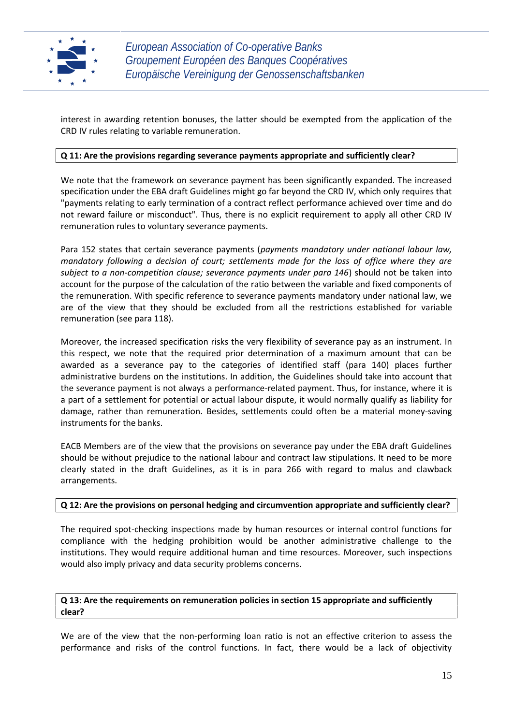

interest in awarding retention bonuses, the latter should be exempted from the application of the CRD IV rules relating to variable remuneration.

## **Q 11: Are the provisions regarding severance payments appropriate and sufficiently clear?**

We note that the framework on severance payment has been significantly expanded. The increased specification under the EBA draft Guidelines might go far beyond the CRD IV, which only requires that "payments relating to early termination of a contract reflect performance achieved over time and do not reward failure or misconduct". Thus, there is no explicit requirement to apply all other CRD IV remuneration rules to voluntary severance payments.

Para 152 states that certain severance payments (*payments mandatory under national labour law, mandatory following a decision of court; settlements made for the loss of office where they are subject to a non-competition clause; severance payments under para 146*) should not be taken into account for the purpose of the calculation of the ratio between the variable and fixed components of the remuneration. With specific reference to severance payments mandatory under national law, we are of the view that they should be excluded from all the restrictions established for variable remuneration (see para 118).

Moreover, the increased specification risks the very flexibility of severance pay as an instrument. In this respect, we note that the required prior determination of a maximum amount that can be awarded as a severance pay to the categories of identified staff (para 140) places further administrative burdens on the institutions. In addition, the Guidelines should take into account that the severance payment is not always a performance-related payment. Thus, for instance, where it is a part of a settlement for potential or actual labour dispute, it would normally qualify as liability for damage, rather than remuneration. Besides, settlements could often be a material money-saving instruments for the banks.

EACB Members are of the view that the provisions on severance pay under the EBA draft Guidelines should be without prejudice to the national labour and contract law stipulations. It need to be more clearly stated in the draft Guidelines, as it is in para 266 with regard to malus and clawback arrangements.

## **Q 12: Are the provisions on personal hedging and circumvention appropriate and sufficiently clear?**

The required spot-checking inspections made by human resources or internal control functions for compliance with the hedging prohibition would be another administrative challenge to the institutions. They would require additional human and time resources. Moreover, such inspections would also imply privacy and data security problems concerns.

# **Q 13: Are the requirements on remuneration policies in section 15 appropriate and sufficiently clear?**

We are of the view that the non-performing loan ratio is not an effective criterion to assess the performance and risks of the control functions. In fact, there would be a lack of objectivity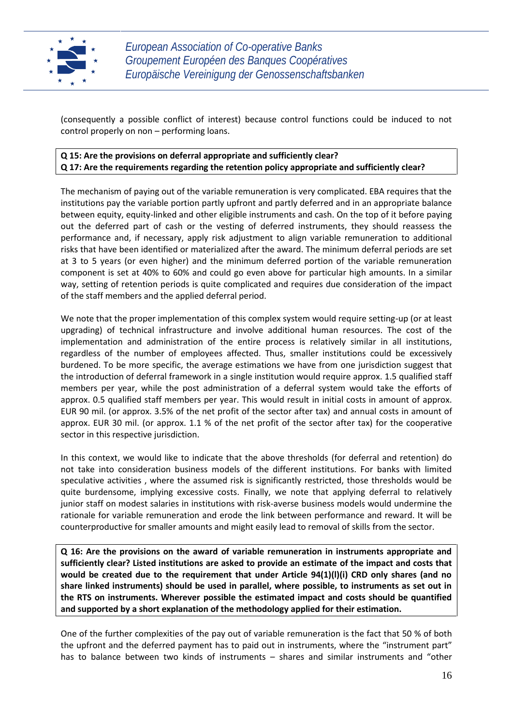

(consequently a possible conflict of interest) because control functions could be induced to not control properly on non – performing loans.

# **Q 15: Are the provisions on deferral appropriate and sufficiently clear? Q 17: Are the requirements regarding the retention policy appropriate and sufficiently clear?**

The mechanism of paying out of the variable remuneration is very complicated. EBA requires that the institutions pay the variable portion partly upfront and partly deferred and in an appropriate balance between equity, equity-linked and other eligible instruments and cash. On the top of it before paying out the deferred part of cash or the vesting of deferred instruments, they should reassess the performance and, if necessary, apply risk adjustment to align variable remuneration to additional risks that have been identified or materialized after the award. The minimum deferral periods are set at 3 to 5 years (or even higher) and the minimum deferred portion of the variable remuneration component is set at 40% to 60% and could go even above for particular high amounts. In a similar way, setting of retention periods is quite complicated and requires due consideration of the impact of the staff members and the applied deferral period.

We note that the proper implementation of this complex system would require setting-up (or at least upgrading) of technical infrastructure and involve additional human resources. The cost of the implementation and administration of the entire process is relatively similar in all institutions, regardless of the number of employees affected. Thus, smaller institutions could be excessively burdened. To be more specific, the average estimations we have from one jurisdiction suggest that the introduction of deferral framework in a single institution would require approx. 1.5 qualified staff members per year, while the post administration of a deferral system would take the efforts of approx. 0.5 qualified staff members per year. This would result in initial costs in amount of approx. EUR 90 mil. (or approx. 3.5% of the net profit of the sector after tax) and annual costs in amount of approx. EUR 30 mil. (or approx. 1.1 % of the net profit of the sector after tax) for the cooperative sector in this respective jurisdiction.

In this context, we would like to indicate that the above thresholds (for deferral and retention) do not take into consideration business models of the different institutions. For banks with limited speculative activities , where the assumed risk is significantly restricted, those thresholds would be quite burdensome, implying excessive costs. Finally, we note that applying deferral to relatively junior staff on modest salaries in institutions with risk-averse business models would undermine the rationale for variable remuneration and erode the link between performance and reward. It will be counterproductive for smaller amounts and might easily lead to removal of skills from the sector.

**Q 16: Are the provisions on the award of variable remuneration in instruments appropriate and sufficiently clear? Listed institutions are asked to provide an estimate of the impact and costs that would be created due to the requirement that under Article 94(1)(l)(i) CRD only shares (and no share linked instruments) should be used in parallel, where possible, to instruments as set out in the RTS on instruments. Wherever possible the estimated impact and costs should be quantified and supported by a short explanation of the methodology applied for their estimation.**

One of the further complexities of the pay out of variable remuneration is the fact that 50 % of both the upfront and the deferred payment has to paid out in instruments, where the "instrument part" has to balance between two kinds of instruments – shares and similar instruments and "other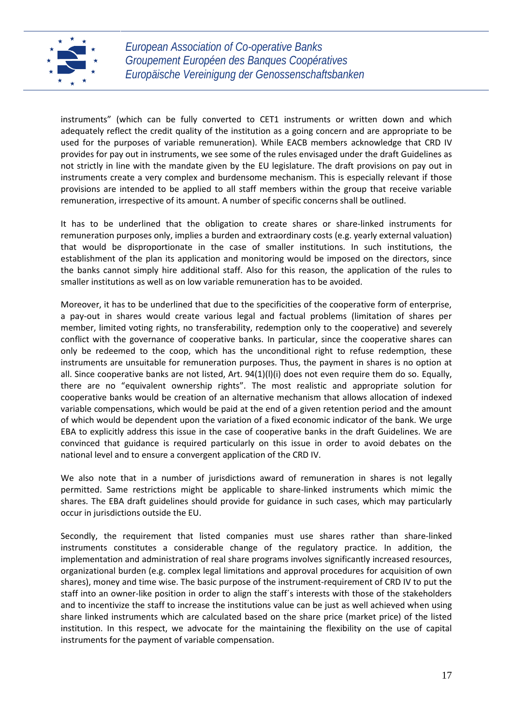

instruments" (which can be fully converted to CET1 instruments or written down and which adequately reflect the credit quality of the institution as a going concern and are appropriate to be used for the purposes of variable remuneration). While EACB members acknowledge that CRD IV provides for pay out in instruments, we see some of the rules envisaged under the draft Guidelines as not strictly in line with the mandate given by the EU legislature. The draft provisions on pay out in instruments create a very complex and burdensome mechanism. This is especially relevant if those provisions are intended to be applied to all staff members within the group that receive variable remuneration, irrespective of its amount. A number of specific concerns shall be outlined.

It has to be underlined that the obligation to create shares or share-linked instruments for remuneration purposes only, implies a burden and extraordinary costs (e.g. yearly external valuation) that would be disproportionate in the case of smaller institutions. In such institutions, the establishment of the plan its application and monitoring would be imposed on the directors, since the banks cannot simply hire additional staff. Also for this reason, the application of the rules to smaller institutions as well as on low variable remuneration has to be avoided.

Moreover, it has to be underlined that due to the specificities of the cooperative form of enterprise, a pay-out in shares would create various legal and factual problems (limitation of shares per member, limited voting rights, no transferability, redemption only to the cooperative) and severely conflict with the governance of cooperative banks. In particular, since the cooperative shares can only be redeemed to the coop, which has the unconditional right to refuse redemption, these instruments are unsuitable for remuneration purposes. Thus, the payment in shares is no option at all. Since cooperative banks are not listed, Art. 94(1)(l)(i) does not even require them do so. Equally, there are no "equivalent ownership rights". The most realistic and appropriate solution for cooperative banks would be creation of an alternative mechanism that allows allocation of indexed variable compensations, which would be paid at the end of a given retention period and the amount of which would be dependent upon the variation of a fixed economic indicator of the bank. We urge EBA to explicitly address this issue in the case of cooperative banks in the draft Guidelines. We are convinced that guidance is required particularly on this issue in order to avoid debates on the national level and to ensure a convergent application of the CRD IV.

We also note that in a number of jurisdictions award of remuneration in shares is not legally permitted. Same restrictions might be applicable to share-linked instruments which mimic the shares. The EBA draft guidelines should provide for guidance in such cases, which may particularly occur in jurisdictions outside the EU.

Secondly, the requirement that listed companies must use shares rather than share-linked instruments constitutes a considerable change of the regulatory practice. In addition, the implementation and administration of real share programs involves significantly increased resources, organizational burden (e.g. complex legal limitations and approval procedures for acquisition of own shares), money and time wise. The basic purpose of the instrument-requirement of CRD IV to put the staff into an owner-like position in order to align the staff´s interests with those of the stakeholders and to incentivize the staff to increase the institutions value can be just as well achieved when using share linked instruments which are calculated based on the share price (market price) of the listed institution. In this respect, we advocate for the maintaining the flexibility on the use of capital instruments for the payment of variable compensation.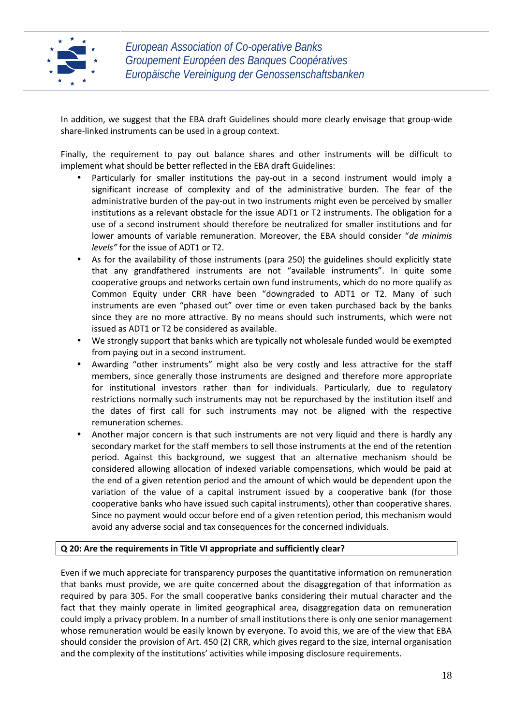

In addition, we suggest that the EBA draft Guidelines should more clearly envisage that group-wide share-linked instruments can be used in a group context.

Finally, the requirement to pay out balance shares and other instruments will be difficult to implement what should be better reflected in the EBA draft Guidelines:

- Particularly for smaller institutions the pay-out in a second instrument would imply a significant increase of complexity and of the administrative burden. The fear of the administrative burden of the pay-out in two instruments might even be perceived by smaller institutions as a relevant obstacle for the issue ADT1 or T2 instruments. The obligation for a use of a second instrument should therefore be neutralized for smaller institutions and for lower amounts of variable remuneration. Moreover, the EBA should consider "*de minimis levels"* for the issue of ADT1 or T2.
- As for the availability of those instruments (para 250) the guidelines should explicitly state that any grandfathered instruments are not "available instruments". In quite some cooperative groups and networks certain own fund instruments, which do no more qualify as Common Equity under CRR have been "downgraded to ADT1 or T2. Many of such instruments are even "phased out" over time or even taken purchased back by the banks since they are no more attractive. By no means should such instruments, which were not issued as ADT1 or T2 be considered as available.
- We strongly support that banks which are typically not wholesale funded would be exempted from paying out in a second instrument.
- Awarding "other instruments" might also be very costly and less attractive for the staff members, since generally those instruments are designed and therefore more appropriate for institutional investors rather than for individuals. Particularly, due to regulatory restrictions normally such instruments may not be repurchased by the institution itself and the dates of first call for such instruments may not be aligned with the respective remuneration schemes.
- Another major concern is that such instruments are not very liquid and there is hardly any secondary market for the staff members to sell those instruments at the end of the retention period. Against this background, we suggest that an alternative mechanism should be considered allowing allocation of indexed variable compensations, which would be paid at the end of a given retention period and the amount of which would be dependent upon the variation of the value of a capital instrument issued by a cooperative bank (for those cooperative banks who have issued such capital instruments), other than cooperative shares. Since no payment would occur before end of a given retention period, this mechanism would avoid any adverse social and tax consequences for the concerned individuals.

## **Q 20: Are the requirements in Title VI appropriate and sufficiently clear?**

Even if we much appreciate for transparency purposes the quantitative information on remuneration that banks must provide, we are quite concerned about the disaggregation of that information as required by para 305. For the small cooperative banks considering their mutual character and the fact that they mainly operate in limited geographical area, disaggregation data on remuneration could imply a privacy problem. In a number of small institutions there is only one senior management whose remuneration would be easily known by everyone. To avoid this, we are of the view that EBA should consider the provision of Art. 450 (2) CRR, which gives regard to the size, internal organisation and the complexity of the institutions' activities while imposing disclosure requirements.